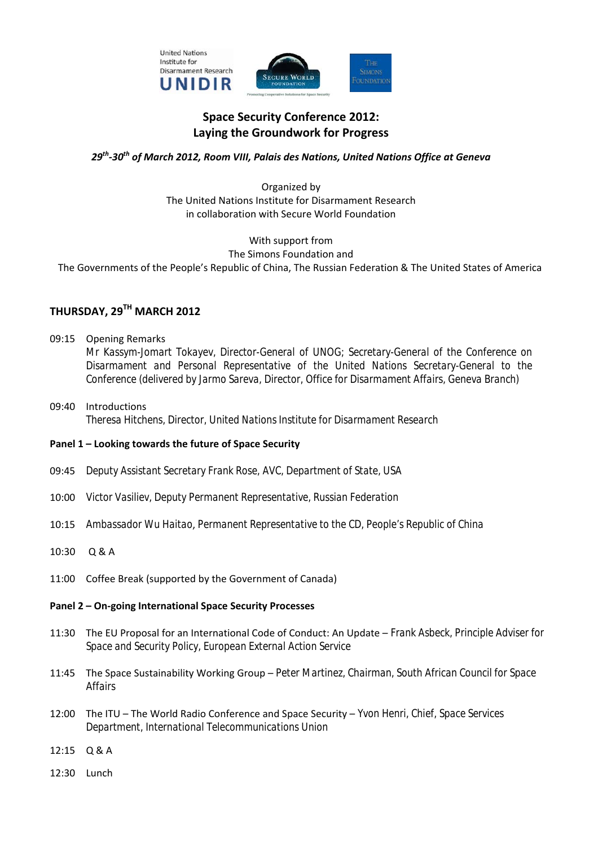

# **Space Security Conference 2012: Laying the Groundwork for Progress**

### *29th-30th of March 2012, Room VIII, Palais des Nations, United Nations Office at Geneva*

Organized by The United Nations Institute for Disarmament Research in collaboration with Secure World Foundation

With support from The Simons Foundation and The Governments of the People's Republic of China, The Russian Federation & The United States of America

# **THURSDAY, 29TH MARCH 2012**

- 09:15 Opening Remarks *Mr Kassym-Jomart Tokayev, Director-General of UNOG; Secretary-General of the Conference on Disarmament and Personal Representative of the United Nations Secretary-General to the Conference (delivered by Jarmo Sareva, Director, Office for Disarmament Affairs, Geneva Branch)*
- 09:40 Introductions  *Theresa Hitchens, Director, United Nations Institute for Disarmament Research*
- **Panel 1 Looking towards the future of Space Security**
- 09:45 *Deputy Assistant Secretary Frank Rose, AVC, Department of State, USA*
- 10:00 *Victor Vasiliev, Deputy Permanent Representative, Russian Federation*
- 10:15 *Ambassador Wu Haitao*, *Permanent Representative to the CD, People's Republic of China*
- 10:30 Q & A
- 11:00 Coffee Break (supported by the Government of Canada)

### **Panel 2 – On-going International Space Security Processes**

- 11:30 The EU Proposal for an International Code of Conduct: An Update – *Frank Asbeck, Principle Adviser for Space and Security Policy, European External Action Service*
- 11:45 The Space Sustainability Working Group *Peter Martinez, Chairman, South African Council for Space Affairs*
- 12:00 The ITU The World Radio Conference and Space Security *Yvon Henri, Chief, Space Services Department, International Telecommunications Union*
- 12:15 Q & A
- 12:30 Lunch